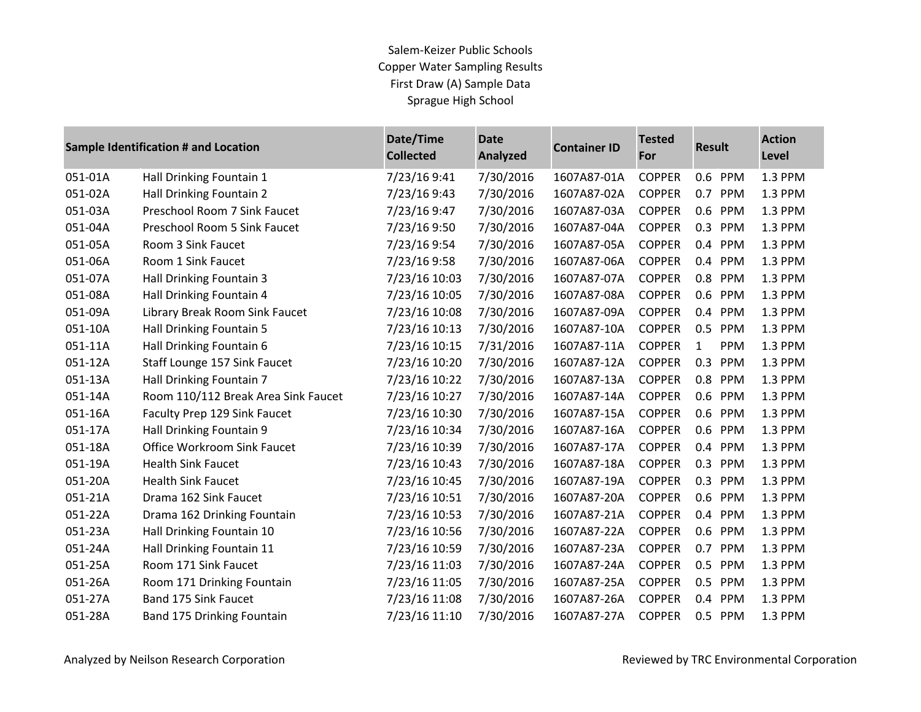| Sample Identification # and Location |                                     | Date/Time<br><b>Collected</b> | <b>Date</b><br><b>Analyzed</b> | <b>Container ID</b> | <b>Tested</b><br>For | <b>Result</b>       | <b>Action</b><br>Level |
|--------------------------------------|-------------------------------------|-------------------------------|--------------------------------|---------------------|----------------------|---------------------|------------------------|
| 051-01A                              | Hall Drinking Fountain 1            | 7/23/16 9:41                  | 7/30/2016                      | 1607A87-01A         | <b>COPPER</b>        | 0.6 PPM             | 1.3 PPM                |
| 051-02A                              | Hall Drinking Fountain 2            | 7/23/16 9:43                  | 7/30/2016                      | 1607A87-02A         | <b>COPPER</b>        | 0.7<br>PPM          | 1.3 PPM                |
| 051-03A                              | Preschool Room 7 Sink Faucet        | 7/23/16 9:47                  | 7/30/2016                      | 1607A87-03A         | <b>COPPER</b>        | 0.6 PPM             | 1.3 PPM                |
| 051-04A                              | Preschool Room 5 Sink Faucet        | 7/23/16 9:50                  | 7/30/2016                      | 1607A87-04A         | <b>COPPER</b>        | 0.3<br>PPM          | 1.3 PPM                |
| 051-05A                              | Room 3 Sink Faucet                  | 7/23/16 9:54                  | 7/30/2016                      | 1607A87-05A         | <b>COPPER</b>        | 0.4 PPM             | 1.3 PPM                |
| 051-06A                              | Room 1 Sink Faucet                  | 7/23/16 9:58                  | 7/30/2016                      | 1607A87-06A         | <b>COPPER</b>        | 0.4<br><b>PPM</b>   | 1.3 PPM                |
| 051-07A                              | Hall Drinking Fountain 3            | 7/23/16 10:03                 | 7/30/2016                      | 1607A87-07A         | <b>COPPER</b>        | 0.8<br>PPM          | 1.3 PPM                |
| 051-08A                              | Hall Drinking Fountain 4            | 7/23/16 10:05                 | 7/30/2016                      | 1607A87-08A         | <b>COPPER</b>        | 0.6 PPM             | 1.3 PPM                |
| 051-09A                              | Library Break Room Sink Faucet      | 7/23/16 10:08                 | 7/30/2016                      | 1607A87-09A         | <b>COPPER</b>        | PPM<br>0.4          | 1.3 PPM                |
| 051-10A                              | Hall Drinking Fountain 5            | 7/23/16 10:13                 | 7/30/2016                      | 1607A87-10A         | <b>COPPER</b>        | 0.5<br>PPM          | 1.3 PPM                |
| 051-11A                              | Hall Drinking Fountain 6            | 7/23/16 10:15                 | 7/31/2016                      | 1607A87-11A         | <b>COPPER</b>        | $\mathbf{1}$<br>PPM | 1.3 PPM                |
| 051-12A                              | Staff Lounge 157 Sink Faucet        | 7/23/16 10:20                 | 7/30/2016                      | 1607A87-12A         | <b>COPPER</b>        | 0.3<br>PPM          | 1.3 PPM                |
| 051-13A                              | Hall Drinking Fountain 7            | 7/23/16 10:22                 | 7/30/2016                      | 1607A87-13A         | <b>COPPER</b>        | 0.8<br>PPM          | 1.3 PPM                |
| 051-14A                              | Room 110/112 Break Area Sink Faucet | 7/23/16 10:27                 | 7/30/2016                      | 1607A87-14A         | <b>COPPER</b>        | 0.6 PPM             | 1.3 PPM                |
| 051-16A                              | Faculty Prep 129 Sink Faucet        | 7/23/16 10:30                 | 7/30/2016                      | 1607A87-15A         | <b>COPPER</b>        | 0.6 PPM             | 1.3 PPM                |
| 051-17A                              | Hall Drinking Fountain 9            | 7/23/16 10:34                 | 7/30/2016                      | 1607A87-16A         | <b>COPPER</b>        | 0.6 PPM             | 1.3 PPM                |
| 051-18A                              | <b>Office Workroom Sink Faucet</b>  | 7/23/16 10:39                 | 7/30/2016                      | 1607A87-17A         | <b>COPPER</b>        | 0.4 PPM             | 1.3 PPM                |
| 051-19A                              | <b>Health Sink Faucet</b>           | 7/23/16 10:43                 | 7/30/2016                      | 1607A87-18A         | <b>COPPER</b>        | 0.3<br>PPM          | 1.3 PPM                |
| 051-20A                              | <b>Health Sink Faucet</b>           | 7/23/16 10:45                 | 7/30/2016                      | 1607A87-19A         | <b>COPPER</b>        | 0.3<br>PPM          | 1.3 PPM                |
| 051-21A                              | Drama 162 Sink Faucet               | 7/23/16 10:51                 | 7/30/2016                      | 1607A87-20A         | <b>COPPER</b>        | 0.6<br>PPM          | 1.3 PPM                |
| 051-22A                              | Drama 162 Drinking Fountain         | 7/23/16 10:53                 | 7/30/2016                      | 1607A87-21A         | <b>COPPER</b>        | 0.4 PPM             | 1.3 PPM                |
| 051-23A                              | Hall Drinking Fountain 10           | 7/23/16 10:56                 | 7/30/2016                      | 1607A87-22A         | <b>COPPER</b>        | 0.6<br>PPM          | 1.3 PPM                |
| 051-24A                              | Hall Drinking Fountain 11           | 7/23/16 10:59                 | 7/30/2016                      | 1607A87-23A         | <b>COPPER</b>        | 0.7 PPM             | 1.3 PPM                |
| 051-25A                              | Room 171 Sink Faucet                | 7/23/16 11:03                 | 7/30/2016                      | 1607A87-24A         | <b>COPPER</b>        | 0.5<br>PPM          | 1.3 PPM                |
| 051-26A                              | Room 171 Drinking Fountain          | 7/23/16 11:05                 | 7/30/2016                      | 1607A87-25A         | <b>COPPER</b>        | 0.5<br>PPM          | 1.3 PPM                |
| 051-27A                              | Band 175 Sink Faucet                | 7/23/16 11:08                 | 7/30/2016                      | 1607A87-26A         | <b>COPPER</b>        | PPM<br>0.4          | 1.3 PPM                |
| 051-28A                              | Band 175 Drinking Fountain          | 7/23/16 11:10                 | 7/30/2016                      | 1607A87-27A         | <b>COPPER</b>        | 0.5<br>PPM          | 1.3 PPM                |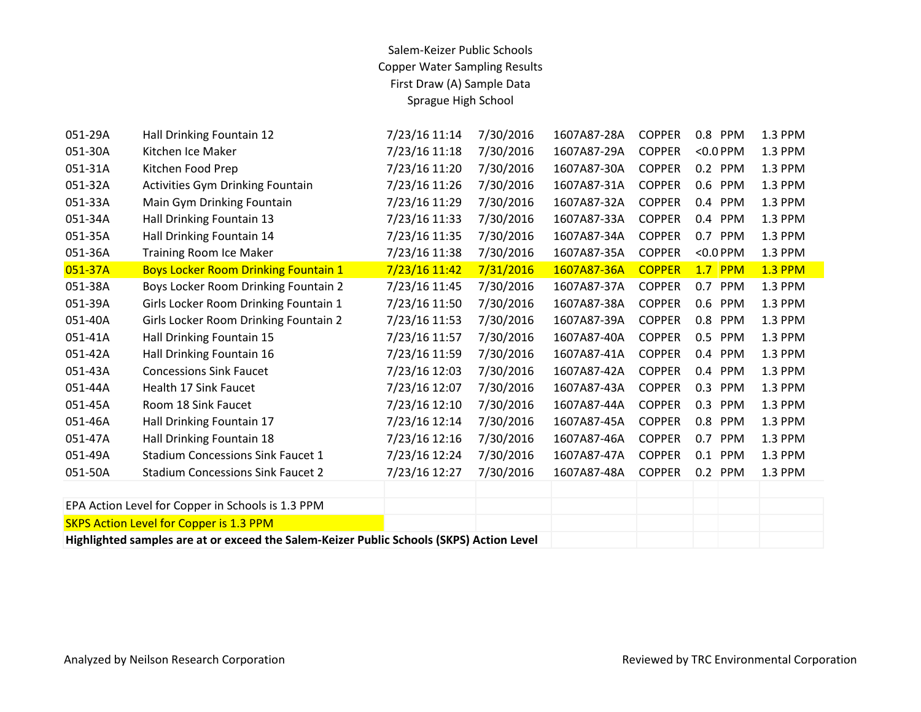| 051-29A                                                                                  | Hall Drinking Fountain 12                         | 7/23/16 11:14 | 7/30/2016 | 1607A87-28A | <b>COPPER</b> | 0.8 PPM           | 1.3 PPM        |
|------------------------------------------------------------------------------------------|---------------------------------------------------|---------------|-----------|-------------|---------------|-------------------|----------------|
| 051-30A                                                                                  | Kitchen Ice Maker                                 | 7/23/16 11:18 | 7/30/2016 | 1607A87-29A | <b>COPPER</b> | $<$ 0.0 PPM       | 1.3 PPM        |
| 051-31A                                                                                  | Kitchen Food Prep                                 | 7/23/16 11:20 | 7/30/2016 | 1607A87-30A | <b>COPPER</b> | 0.2 PPM           | 1.3 PPM        |
| 051-32A                                                                                  | <b>Activities Gym Drinking Fountain</b>           | 7/23/16 11:26 | 7/30/2016 | 1607A87-31A | <b>COPPER</b> | 0.6 PPM           | 1.3 PPM        |
| 051-33A                                                                                  | Main Gym Drinking Fountain                        | 7/23/16 11:29 | 7/30/2016 | 1607A87-32A | <b>COPPER</b> | 0.4 PPM           | 1.3 PPM        |
| 051-34A                                                                                  | Hall Drinking Fountain 13                         | 7/23/16 11:33 | 7/30/2016 | 1607A87-33A | <b>COPPER</b> | 0.4 PPM           | 1.3 PPM        |
| 051-35A                                                                                  | Hall Drinking Fountain 14                         | 7/23/16 11:35 | 7/30/2016 | 1607A87-34A | <b>COPPER</b> | 0.7 PPM           | 1.3 PPM        |
| 051-36A                                                                                  | <b>Training Room Ice Maker</b>                    | 7/23/16 11:38 | 7/30/2016 | 1607A87-35A | <b>COPPER</b> | $<$ 0.0 PPM       | 1.3 PPM        |
| 051-37A                                                                                  | <b>Boys Locker Room Drinking Fountain 1</b>       | 7/23/16 11:42 | 7/31/2016 | 1607A87-36A | <b>COPPER</b> | $1.7$ PPM         | <b>1.3 PPM</b> |
| 051-38A                                                                                  | Boys Locker Room Drinking Fountain 2              | 7/23/16 11:45 | 7/30/2016 | 1607A87-37A | <b>COPPER</b> | 0.7 PPM           | 1.3 PPM        |
| 051-39A                                                                                  | Girls Locker Room Drinking Fountain 1             | 7/23/16 11:50 | 7/30/2016 | 1607A87-38A | <b>COPPER</b> | 0.6 PPM           | 1.3 PPM        |
| 051-40A                                                                                  | Girls Locker Room Drinking Fountain 2             | 7/23/16 11:53 | 7/30/2016 | 1607A87-39A | <b>COPPER</b> | 0.8 PPM           | 1.3 PPM        |
| 051-41A                                                                                  | Hall Drinking Fountain 15                         | 7/23/16 11:57 | 7/30/2016 | 1607A87-40A | <b>COPPER</b> | 0.5 PPM           | 1.3 PPM        |
| 051-42A                                                                                  | Hall Drinking Fountain 16                         | 7/23/16 11:59 | 7/30/2016 | 1607A87-41A | <b>COPPER</b> | 0.4 PPM           | 1.3 PPM        |
| 051-43A                                                                                  | <b>Concessions Sink Faucet</b>                    | 7/23/16 12:03 | 7/30/2016 | 1607A87-42A | <b>COPPER</b> | 0.4 PPM           | 1.3 PPM        |
| 051-44A                                                                                  | Health 17 Sink Faucet                             | 7/23/16 12:07 | 7/30/2016 | 1607A87-43A | <b>COPPER</b> | 0.3<br>PPM        | 1.3 PPM        |
| 051-45A                                                                                  | Room 18 Sink Faucet                               | 7/23/16 12:10 | 7/30/2016 | 1607A87-44A | <b>COPPER</b> | 0.3<br>PPM        | 1.3 PPM        |
| 051-46A                                                                                  | Hall Drinking Fountain 17                         | 7/23/16 12:14 | 7/30/2016 | 1607A87-45A | <b>COPPER</b> | 0.8 PPM           | 1.3 PPM        |
| 051-47A                                                                                  | Hall Drinking Fountain 18                         | 7/23/16 12:16 | 7/30/2016 | 1607A87-46A | <b>COPPER</b> | 0.7<br><b>PPM</b> | 1.3 PPM        |
| 051-49A                                                                                  | <b>Stadium Concessions Sink Faucet 1</b>          | 7/23/16 12:24 | 7/30/2016 | 1607A87-47A | <b>COPPER</b> | 0.1<br>PPM        | 1.3 PPM        |
| 051-50A                                                                                  | <b>Stadium Concessions Sink Faucet 2</b>          | 7/23/16 12:27 | 7/30/2016 | 1607A87-48A | <b>COPPER</b> | 0.2 PPM           | 1.3 PPM        |
|                                                                                          |                                                   |               |           |             |               |                   |                |
|                                                                                          | EPA Action Level for Copper in Schools is 1.3 PPM |               |           |             |               |                   |                |
|                                                                                          | <b>SKPS Action Level for Copper is 1.3 PPM</b>    |               |           |             |               |                   |                |
| Highlighted samples are at or exceed the Salem-Keizer Public Schools (SKPS) Action Level |                                                   |               |           |             |               |                   |                |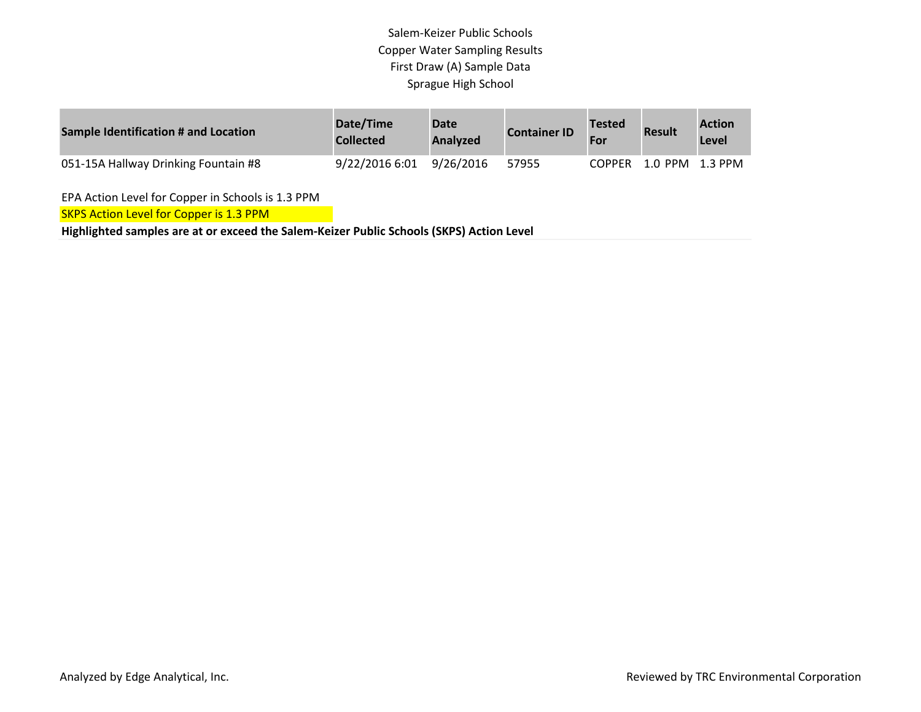| Sample Identification # and Location | Date/Time<br><b>Collected</b> | <b>Date</b><br><b>Analyzed</b> | <b>Container ID</b> | <b>Tested</b><br>For | <b>Result</b>   | <b>Action</b><br>Level |
|--------------------------------------|-------------------------------|--------------------------------|---------------------|----------------------|-----------------|------------------------|
| 051-15A Hallway Drinking Fountain #8 | 9/22/2016 6:01                | 9/26/2016                      | 57955               | COPPFR               | 1.0 PPM 1.3 PPM |                        |

EPA Action Level for Copper in Schools is 1.3 PPM

**SKPS Action Level for Copper is 1.3 PPM**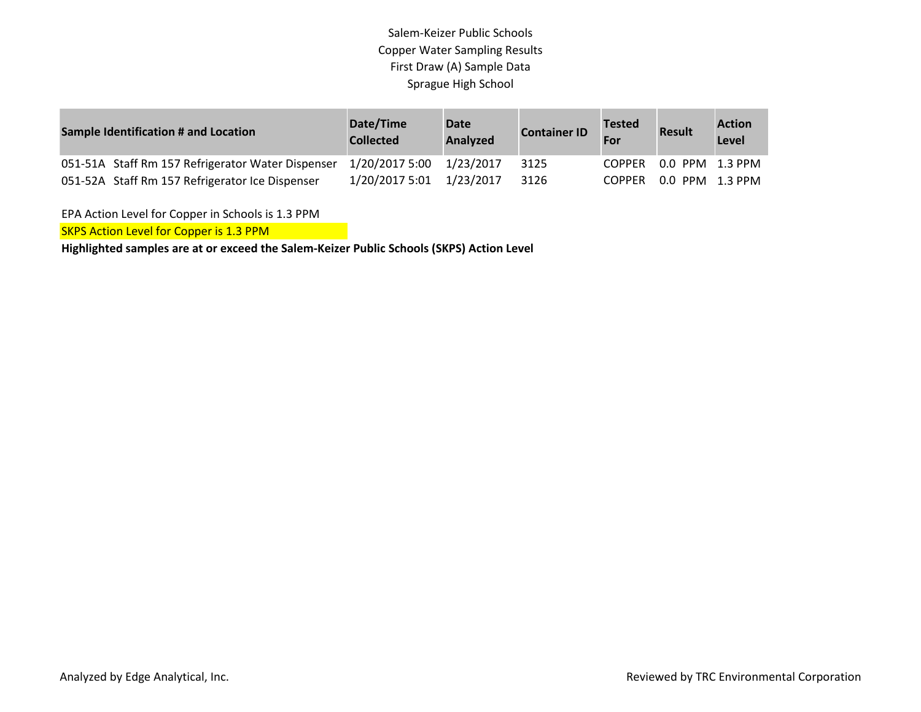| <b>Sample Identification # and Location</b>       | Date/Time<br><b>Collected</b> | <b>Date</b><br><b>Analyzed</b> | <b>Container ID</b> | <b>Tested</b><br>For | <b>Result</b>          | <b>Action</b><br>Level |
|---------------------------------------------------|-------------------------------|--------------------------------|---------------------|----------------------|------------------------|------------------------|
| 051-51A Staff Rm 157 Refrigerator Water Dispenser | 1/20/2017 5:00 1/23/2017      |                                | 3125                |                      | COPPER 0.0 PPM 1.3 PPM |                        |
| 051-52A Staff Rm 157 Refrigerator Ice Dispenser   | 1/20/2017 5:01                | 1/23/2017                      | 3126                |                      | COPPER 0.0 PPM 1.3 PPM |                        |

EPA Action Level for Copper in Schools is 1.3 PPM

**SKPS Action Level for Copper is 1.3 PPM**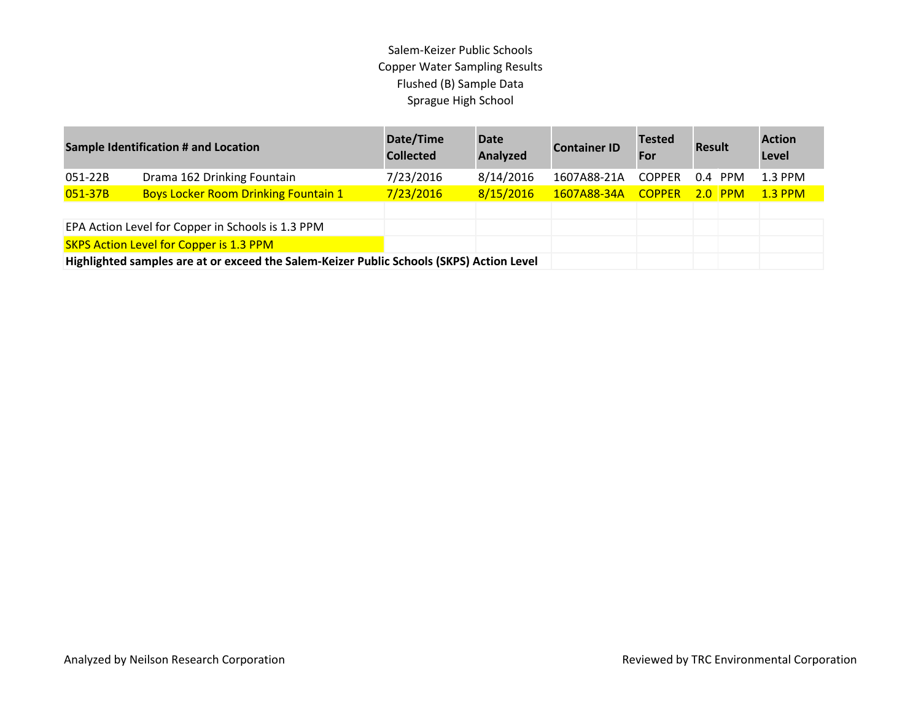| <b>Sample Identification # and Location</b>                                              |                                             | Date/Time<br><b>Collected</b> | <b>Date</b><br>Analyzed | <b>Container ID</b> | <b>Tested</b><br>For | <b>Result</b> |           | <b>Action</b><br>Level |
|------------------------------------------------------------------------------------------|---------------------------------------------|-------------------------------|-------------------------|---------------------|----------------------|---------------|-----------|------------------------|
| 051-22B                                                                                  | Drama 162 Drinking Fountain                 | 7/23/2016                     | 8/14/2016               | 1607A88-21A         | <b>COPPER</b>        |               | $0.4$ PPM | $1.3$ PPM              |
| 051-37B                                                                                  | <b>Boys Locker Room Drinking Fountain 1</b> | 7/23/2016                     | 8/15/2016               | 1607A88-34A         | <b>COPPER</b>        |               | $2.0$ PPM | <b>1.3 PPM</b>         |
|                                                                                          |                                             |                               |                         |                     |                      |               |           |                        |
| EPA Action Level for Copper in Schools is 1.3 PPM                                        |                                             |                               |                         |                     |                      |               |           |                        |
| <b>SKPS Action Level for Copper is 1.3 PPM</b>                                           |                                             |                               |                         |                     |                      |               |           |                        |
| Highlighted samples are at or exceed the Salem-Keizer Public Schools (SKPS) Action Level |                                             |                               |                         |                     |                      |               |           |                        |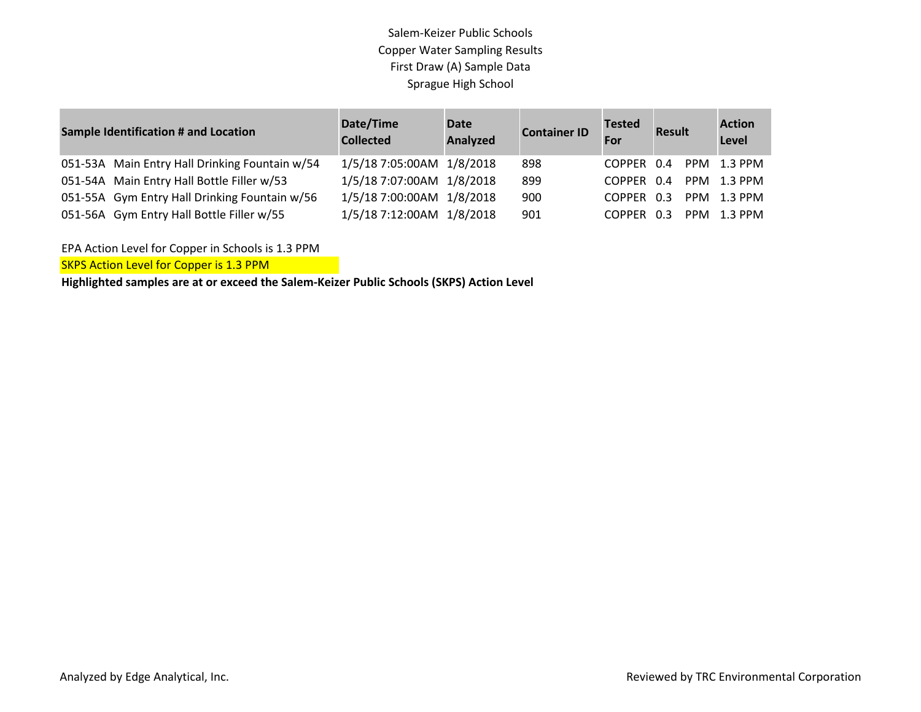| Sample Identification # and Location |                                                | Date/Time<br><b>Collected</b> | <b>Date</b><br><b>Analyzed</b> | <b>Container ID</b> | <b>Tested</b><br>For | Result |  | <b>Action</b><br><b>Level</b> |
|--------------------------------------|------------------------------------------------|-------------------------------|--------------------------------|---------------------|----------------------|--------|--|-------------------------------|
|                                      | 051-53A Main Entry Hall Drinking Fountain w/54 | 1/5/18 7:05:00AM 1/8/2018     |                                | 898                 | COPPER 0.4           |        |  | PPM 1.3 PPM                   |
|                                      | 051-54A Main Entry Hall Bottle Filler w/53     | 1/5/18 7:07:00AM 1/8/2018     |                                | 899                 | COPPER 0.4           |        |  | PPM 1.3 PPM                   |
|                                      | 051-55A Gym Entry Hall Drinking Fountain w/56  | 1/5/18 7:00:00AM 1/8/2018     |                                | 900                 | COPPER 0.3           |        |  | PPM 1.3 PPM                   |
|                                      | 051-56A Gym Entry Hall Bottle Filler w/55      | 1/5/18 7:12:00AM 1/8/2018     |                                | 901                 | COPPER 0.3           |        |  | PPM 1.3 PPM                   |

EPA Action Level for Copper in Schools is 1.3 PPM

**SKPS Action Level for Copper is 1.3 PPM**